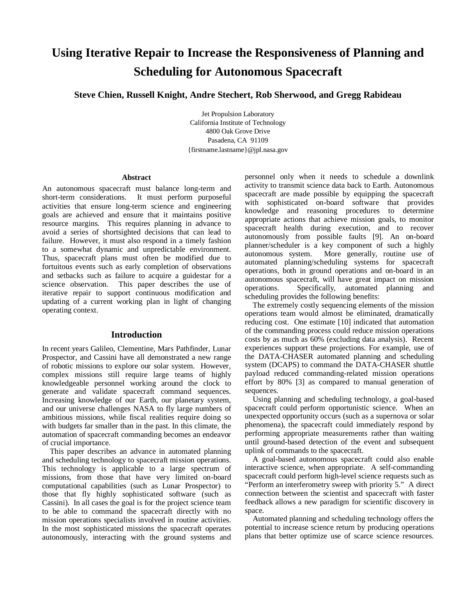# **Using Iterative Repair to Increase the Responsiveness of Planning and Scheduling for Autonomous Spacecraft**

**Steve Chien, Russell Knight, Andre Stechert, Rob Sherwood, and Gregg Rabideau**

Jet Propulsion Laboratory California Institute of Technology 4800 Oak Grove Drive Pasadena, CA 91109 {firstname.lastname}@jpl.nasa.gov

#### **Abstract**

An autonomous spacecraft must balance long-term and short-term considerations. It must perform purposeful activities that ensure long-term science and engineering goals are achieved and ensure that it maintains positive resource margins. This requires planning in advance to avoid a series of shortsighted decisions that can lead to failure. However, it must also respond in a timely fashion to a somewhat dynamic and unpredictable environment. Thus, spacecraft plans must often be modified due to fortuitous events such as early completion of observations and setbacks such as failure to acquire a guidestar for a science observation. This paper describes the use of iterative repair to support continuous modification and updating of a current working plan in light of changing operating context.

### **Introduction**

In recent years Galileo, Clementine, Mars Pathfinder, Lunar Prospector, and Cassini have all demonstrated a new range of robotic missions to explore our solar system. However, complex missions still require large teams of highly knowledgeable personnel working around the clock to generate and validate spacecraft command sequences. Increasing knowledge of our Earth, our planetary system, and our universe challenges NASA to fly large numbers of ambitious missions, while fiscal realities require doing so with budgets far smaller than in the past. In this climate, the automation of spacecraft commanding becomes an endeavor of crucial importance.

This paper describes an advance in automated planning and scheduling technology to spacecraft mission operations. This technology is applicable to a large spectrum of missions, from those that have very limited on-board computational capabilities (such as Lunar Prospector) to those that fly highly sophisticated software (such as Cassini). In all cases the goal is for the project science team to be able to command the spacecraft directly with no mission operations specialists involved in routine activities. In the most sophisticated missions the spacecraft operates autonomously, interacting with the ground systems and personnel only when it needs to schedule a downlink activity to transmit science data back to Earth. Autonomous spacecraft are made possible by equipping the spacecraft with sophisticated on-board software that provides knowledge and reasoning procedures to determine appropriate actions that achieve mission goals, to monitor spacecraft health during execution, and to recover autonomously from possible faults [9]. An on-board planner/scheduler is a key component of such a highly autonomous system. More generally, routine use of automated planning/scheduling systems for spacecraft operations, both in ground operations and on-board in an autonomous spacecraft, will have great impact on mission operations. Specifically, automated planning and scheduling provides the following benefits:

The extremely costly sequencing elements of the mission operations team would almost be eliminated, dramatically reducing cost. One estimate [10] indicated that automation of the commanding process could reduce mission operations costs by as much as 60% (excluding data analysis). Recent experiences support these projections. For example, use of the DATA-CHASER automated planning and scheduling system (DCAPS) to command the DATA-CHASER shuttle payload reduced commanding-related mission operations effort by 80% [3] as compared to manual generation of sequences.

Using planning and scheduling technology, a goal-based spacecraft could perform opportunistic science. When an unexpected opportunity occurs (such as a supernova or solar phenomena), the spacecraft could immediately respond by performing appropriate measurements rather than waiting until ground-based detection of the event and subsequent uplink of commands to the spacecraft.

A goal-based autonomous spacecraft could also enable interactive science, when appropriate. A self-commanding spacecraft could perform high-level science requests such as "Perform an interferometry sweep with priority 5." A direct connection between the scientist and spacecraft with faster feedback allows a new paradigm for scientific discovery in space.

Automated planning and scheduling technology offers the potential to increase science return by producing operations plans that better optimize use of scarce science resources.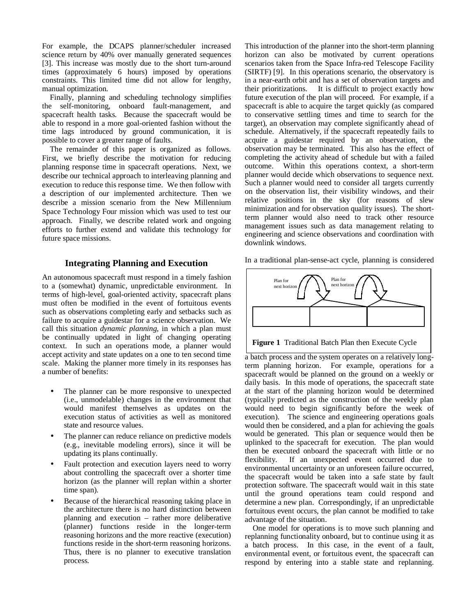For example, the DCAPS planner/scheduler increased science return by 40% over manually generated sequences [3]. This increase was mostly due to the short turn-around times (approximately 6 hours) imposed by operations constraints. This limited time did not allow for lengthy, manual optimization.

Finally, planning and scheduling technology simplifies the self-monitoring, onboard fault-management, and spacecraft health tasks. Because the spacecraft would be able to respond in a more goal-oriented fashion without the time lags introduced by ground communication, it is possible to cover a greater range of faults.

The remainder of this paper is organized as follows. First, we briefly describe the motivation for reducing planning response time in spacecraft operations. Next, we describe our technical approach to interleaving planning and execution to reduce this response time. We then follow with a description of our implemented architecture. Then we describe a mission scenario from the New Millennium Space Technology Four mission which was used to test our approach. Finally, we describe related work and ongoing efforts to further extend and validate this technology for future space missions.

### **Integrating Planning and Execution**

An autonomous spacecraft must respond in a timely fashion to a (somewhat) dynamic, unpredictable environment. In terms of high-level, goal-oriented activity, spacecraft plans must often be modified in the event of fortuitous events such as observations completing early and setbacks such as failure to acquire a guidestar for a science observation. We call this situation *dynamic planning*, in which a plan must be continually updated in light of changing operating context. In such an operations mode, a planner would accept activity and state updates on a one to ten second time scale. Making the planner more timely in its responses has a number of benefits:

- The planner can be more responsive to unexpected (i.e., unmodelable) changes in the environment that would manifest themselves as updates on the execution status of activities as well as monitored state and resource values.
- The planner can reduce reliance on predictive models (e.g., inevitable modeling errors), since it will be updating its plans continually.
- Fault protection and execution layers need to worry about controlling the spacecraft over a shorter time horizon (as the planner will replan within a shorter time span).
- Because of the hierarchical reasoning taking place in the architecture there is no hard distinction between planning and execution – rather more deliberative (planner) functions reside in the longer-term reasoning horizons and the more reactive (execution) functions reside in the short-term reasoning horizons. Thus, there is no planner to executive translation process.

This introduction of the planner into the short-term planning horizon can also be motivated by current operations scenarios taken from the Space Infra-red Telescope Facility (SIRTF) [9]. In this operations scenario, the observatory is in a near-earth orbit and has a set of observation targets and their prioritizations. It is difficult to project exactly how future execution of the plan will proceed. For example, if a spacecraft is able to acquire the target quickly (as compared to conservative settling times and time to search for the target), an observation may complete significantly ahead of schedule. Alternatively, if the spacecraft repeatedly fails to acquire a guidestar required by an observation, the observation may be terminated. This also has the effect of completing the activity ahead of schedule but with a failed outcome. Within this operations context, a short-term planner would decide which observations to sequence next. Such a planner would need to consider all targets currently on the observation list, their visibility windows, and their relative positions in the sky (for reasons of slew minimization and for observation quality issues). The shortterm planner would also need to track other resource management issues such as data management relating to engineering and science observations and coordination with downlink windows.

In a traditional plan-sense-act cycle, planning is considered



**Figure 1** Traditional Batch Plan then Execute Cycle

a batch process and the system operates on a relatively longterm planning horizon. For example, operations for a spacecraft would be planned on the ground on a weekly or daily basis. In this mode of operations, the spacecraft state at the start of the planning horizon would be determined (typically predicted as the construction of the weekly plan would need to begin significantly before the week of execution). The science and engineering operations goals would then be considered, and a plan for achieving the goals would be generated. This plan or sequence would then be uplinked to the spacecraft for execution. The plan would then be executed onboard the spacecraft with little or no flexibility. If an unexpected event occurred due to environmental uncertainty or an unforeseen failure occurred, the spacecraft would be taken into a safe state by fault protection software. The spacecraft would wait in this state until the ground operations team could respond and determine a new plan. Correspondingly, if an unpredictable fortuitous event occurs, the plan cannot be modified to take advantage of the situation.

One model for operations is to move such planning and replanning functionality onboard, but to continue using it as a batch process. In this case, in the event of a fault, environmental event, or fortuitous event, the spacecraft can respond by entering into a stable state and replanning.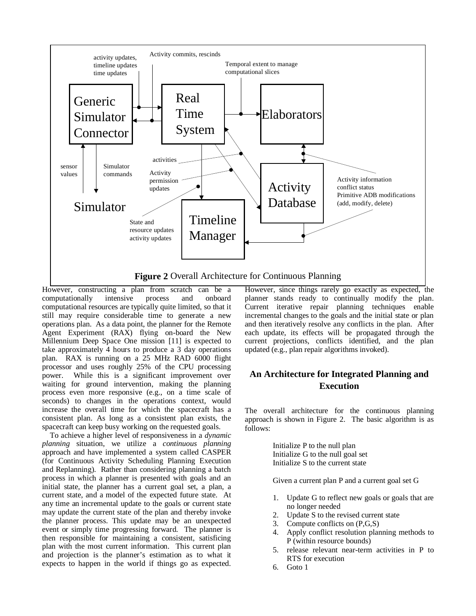

However, constructing a plan from scratch can be a computationally intensive process and onboard computationally intensive process and onboard computational resources are typically quite limited, so that it still may require considerable time to generate a new operations plan. As a data point, the planner for the Remote Agent Experiment (RAX) flying on-board the New Millennium Deep Space One mission [11] is expected to take approximately 4 hours to produce a 3 day operations plan. RAX is running on a 25 MHz RAD 6000 flight processor and uses roughly 25% of the CPU processing power. While this is a significant improvement over waiting for ground intervention, making the planning process even more responsive (e.g., on a time scale of seconds) to changes in the operations context, would increase the overall time for which the spacecraft has a consistent plan. As long as a consistent plan exists, the spacecraft can keep busy working on the requested goals.

To achieve a higher level of responsiveness in a *dynamic planning* situation, we utilize a *continuous planning* approach and have implemented a system called CASPER (for Continuous Activity Scheduling Planning Execution and Replanning). Rather than considering planning a batch process in which a planner is presented with goals and an initial state, the planner has a current goal set, a plan, a current state, and a model of the expected future state. At any time an incremental update to the goals or current state may update the current state of the plan and thereby invoke the planner process. This update may be an unexpected event or simply time progressing forward. The planner is then responsible for maintaining a consistent, satisficing plan with the most current information. This current plan and projection is the planner's estimation as to what it expects to happen in the world if things go as expected.

However, since things rarely go exactly as expected, the planner stands ready to continually modify the plan. Current iterative repair planning techniques enable incremental changes to the goals and the initial state or plan and then iteratively resolve any conflicts in the plan. After each update, its effects will be propagated through the current projections, conflicts identified, and the plan updated (e.g., plan repair algorithms invoked).

## **An Architecture for Integrated Planning and Execution**

The overall architecture for the continuous planning approach is shown in Figure 2. The basic algorithm is as follows:

> Initialize P to the null plan Initialize G to the null goal set Initialize S to the current state

Given a current plan P and a current goal set G

- 1. Update G to reflect new goals or goals that are no longer needed
- 2. Update S to the revised current state
- 3. Compute conflicts on (P,G,S)
- 4. Apply conflict resolution planning methods to P (within resource bounds)
- 5. release relevant near-term activities in P to RTS for execution
- 6. Goto 1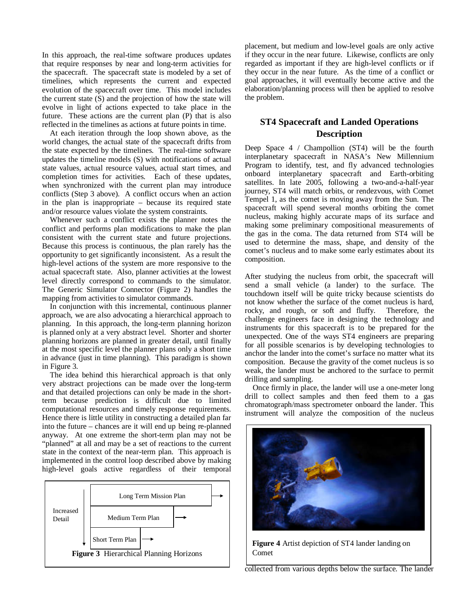In this approach, the real-time software produces updates that require responses by near and long-term activities for the spacecraft. The spacecraft state is modeled by a set of timelines, which represents the current and expected evolution of the spacecraft over time. This model includes the current state (S) and the projection of how the state will evolve in light of actions expected to take place in the future. These actions are the current plan (P) that is also reflected in the timelines as actions at future points in time.

At each iteration through the loop shown above, as the world changes, the actual state of the spacecraft drifts from the state expected by the timelines. The real-time software updates the timeline models (S) with notifications of actual state values, actual resource values, actual start times, and completion times for activities. Each of these updates, when synchronized with the current plan may introduce conflicts (Step 3 above). A conflict occurs when an action in the plan is inappropriate – because its required state and/or resource values violate the system constraints.

Whenever such a conflict exists the planner notes the conflict and performs plan modifications to make the plan consistent with the current state and future projections. Because this process is continuous, the plan rarely has the opportunity to get significantly inconsistent. As a result the high-level actions of the system are more responsive to the actual spacecraft state. Also, planner activities at the lowest level directly correspond to commands to the simulator. The Generic Simulator Connector (Figure 2) handles the mapping from activities to simulator commands.

In conjunction with this incremental, continuous planner approach, we are also advocating a hierarchical approach to planning. In this approach, the long-term planning horizon is planned only at a very abstract level. Shorter and shorter planning horizons are planned in greater detail, until finally at the most specific level the planner plans only a short time in advance (just in time planning). This paradigm is shown in Figure 3.

The idea behind this hierarchical approach is that only very abstract projections can be made over the long-term and that detailed projections can only be made in the shortterm because prediction is difficult due to limited computational resources and timely response requirements. Hence there is little utility in constructing a detailed plan far into the future – chances are it will end up being re-planned anyway. At one extreme the short-term plan may not be "planned" at all and may be a set of reactions to the current state in the context of the near-term plan. This approach is implemented in the control loop described above by making high-level goals active regardless of their temporal



placement, but medium and low-level goals are only active if they occur in the near future. Likewise, conflicts are only regarded as important if they are high-level conflicts or if they occur in the near future. As the time of a conflict or goal approaches, it will eventually become active and the elaboration/planning process will then be applied to resolve the problem.

# **ST4 Spacecraft and Landed Operations Description**

Deep Space 4 / Champollion (ST4) will be the fourth interplanetary spacecraft in NASA's New Millennium Program to identify, test, and fly advanced technologies onboard interplanetary spacecraft and Earth-orbiting satellites. In late 2005, following a two-and-a-half-year journey, ST4 will match orbits, or rendezvous, with Comet Tempel 1, as the comet is moving away from the Sun. The spacecraft will spend several months orbiting the comet nucleus, making highly accurate maps of its surface and making some preliminary compositional measurements of the gas in the coma. The data returned from ST4 will be used to determine the mass, shape, and density of the comet's nucleus and to make some early estimates about its composition.

After studying the nucleus from orbit, the spacecraft will send a small vehicle (a lander) to the surface. The touchdown itself will be quite tricky because scientists do not know whether the surface of the comet nucleus is hard, rocky, and rough, or soft and fluffy. Therefore, the challenge engineers face in designing the technology and instruments for this spacecraft is to be prepared for the unexpected. One of the ways ST4 engineers are preparing for all possible scenarios is by developing technologies to anchor the lander into the comet's surface no matter what its composition. Because the gravity of the comet nucleus is so weak, the lander must be anchored to the surface to permit drilling and sampling.

Once firmly in place, the lander will use a one-meter long drill to collect samples and then feed them to a gas chromatograph/mass spectrometer onboard the lander. This instrument will analyze the composition of the nucleus



**Figure 4** Artist depiction of ST4 lander landing on Comet

collected from various depths below the surface. The lander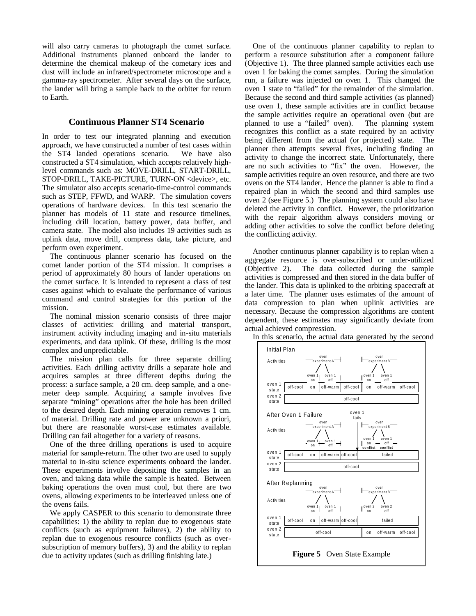will also carry cameras to photograph the comet surface. Additional instruments planned onboard the lander to determine the chemical makeup of the cometary ices and dust will include an infrared/spectrometer microscope and a gamma-ray spectrometer. After several days on the surface, the lander will bring a sample back to the orbiter for return to Earth.

### **Continuous Planner ST4 Scenario**

In order to test our integrated planning and execution approach, we have constructed a number of test cases within the ST4 landed operations scenario. We have also constructed a ST4 simulation, which accepts relatively highlevel commands such as: MOVE-DRILL, START-DRILL, STOP-DRILL, TAKE-PICTURE, TURN-ON <device>, etc. The simulator also accepts scenario-time-control commands such as STEP, FFWD, and WARP. The simulation covers operations of hardware devices. In this test scenario the planner has models of 11 state and resource timelines, including drill location, battery power, data buffer, and camera state. The model also includes 19 activities such as uplink data, move drill, compress data, take picture, and perform oven experiment.

The continuous planner scenario has focused on the comet lander portion of the ST4 mission. It comprises a period of approximately 80 hours of lander operations on the comet surface. It is intended to represent a class of test cases against which to evaluate the performance of various command and control strategies for this portion of the mission.

The nominal mission scenario consists of three major classes of activities: drilling and material transport, instrument activity including imaging and in-situ materials experiments, and data uplink. Of these, drilling is the most complex and unpredictable.

The mission plan calls for three separate drilling activities. Each drilling activity drills a separate hole and acquires samples at three different depths during the process: a surface sample, a 20 cm. deep sample, and a onemeter deep sample. Acquiring a sample involves five separate "mining" operations after the hole has been drilled to the desired depth. Each mining operation removes 1 cm. of material. Drilling rate and power are unknown a priori, but there are reasonable worst-case estimates available. Drilling can fail altogether for a variety of reasons.

One of the three drilling operations is used to acquire material for sample-return. The other two are used to supply material to in-situ science experiments onboard the lander. These experiments involve depositing the samples in an oven, and taking data while the sample is heated. Between baking operations the oven must cool, but there are two ovens, allowing experiments to be interleaved unless one of the ovens fails.

We apply CASPER to this scenario to demonstrate three capabilities: 1) the ability to replan due to exogenous state conflicts (such as equipment failures), 2) the ability to replan due to exogenous resource conflicts (such as oversubscription of memory buffers), 3) and the ability to replan due to activity updates (such as drilling finishing late.)

One of the continuous planner capability to replan to perform a resource substitution after a component failure (Objective 1). The three planned sample activities each use oven 1 for baking the comet samples. During the simulation run, a failure was injected on oven 1. This changed the oven 1 state to "failed" for the remainder of the simulation. Because the second and third sample activities (as planned) use oven 1, these sample activities are in conflict because the sample activities require an operational oven (but are planned to use a "failed" oven). The planning system recognizes this conflict as a state required by an activity being different from the actual (or projected) state. The planner then attempts several fixes, including finding an activity to change the incorrect state. Unfortunately, there are no such activities to "fix" the oven. However, the sample activities require an oven resource, and there are two ovens on the ST4 lander. Hence the planner is able to find a repaired plan in which the second and third samples use oven 2 (see Figure 5.) The planning system could also have deleted the activity in conflict. However, the prioritization with the repair algorithm always considers moving or adding other activities to solve the conflict before deleting the conflicting activity.

Another continuous planner capability is to replan when a aggregate resource is over-subscribed or under-utilized (Objective 2). The data collected during the sample activities is compressed and then stored in the data buffer of the lander. This data is uplinked to the orbiting spacecraft at a later time. The planner uses estimates of the amount of data compression to plan when uplink activities are necessary. Because the compression algorithms are content dependent, these estimates may significantly deviate from actual achieved compression.

In this scenario, the actual data generated by the second

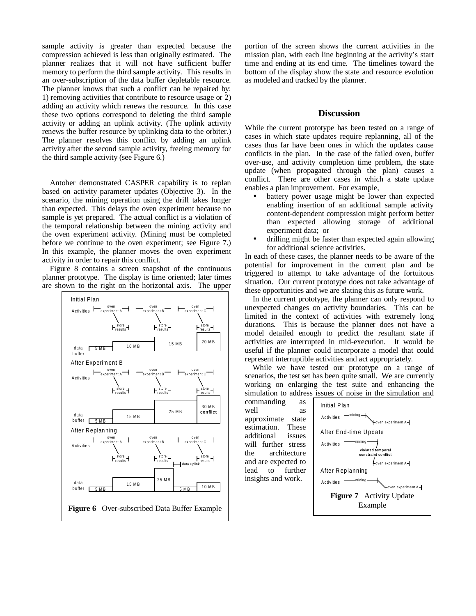sample activity is greater than expected because the compression achieved is less than originally estimated. The planner realizes that it will not have sufficient buffer memory to perform the third sample activity. This results in an over-subscription of the data buffer depletable resource. The planner knows that such a conflict can be repaired by: 1) removing activities that contribute to resource usage or 2) adding an activity which renews the resource. In this case these two options correspond to deleting the third sample activity or adding an uplink activity. (The uplink activity renews the buffer resource by uplinking data to the orbiter.) The planner resolves this conflict by adding an uplink activity after the second sample activity, freeing memory for the third sample activity (see Figure 6.)

Antoher demonstrated CASPER capability is to replan based on activity parameter updates (Objective 3). In the scenario, the mining operation using the drill takes longer than expected. This delays the oven experiment because no sample is yet prepared. The actual conflict is a violation of the temporal relationship between the mining activity and the oven experiment activity. (Mining must be completed before we continue to the oven experiment; see Figure 7.) In this example, the planner moves the oven experiment activity in order to repair this conflict.

Figure 8 contains a screen snapshot of the continuous planner prototype. The display is time oriented; later times are shown to the right on the horizontal axis. The upper



portion of the screen shows the current activities in the mission plan, with each line beginning at the activity's start time and ending at its end time. The timelines toward the bottom of the display show the state and resource evolution as modeled and tracked by the planner.

#### **Discussion**

While the current prototype has been tested on a range of cases in which state updates require replanning, all of the cases thus far have been ones in which the updates cause conflicts in the plan. In the case of the failed oven, buffer over-use, and activity completion time problem, the state update (when propagated through the plan) causes a conflict. There are other cases in which a state update enables a plan improvement. For example,

- battery power usage might be lower than expected enabling insertion of an additional sample activity content-dependent compression might perform better than expected allowing storage of additional experiment data; or
- drilling might be faster than expected again allowing for additional science activities.

In each of these cases, the planner needs to be aware of the potential for improvement in the current plan and be triggered to attempt to take advantage of the fortuitous situation. Our current prototype does not take advantage of these opportunities and we are slating this as future work.

In the current prototype, the planner can only respond to unexpected changes on activity boundaries. This can be limited in the context of activities with extremely long durations. This is because the planner does not have a model detailed enough to predict the resultant state if activities are interrupted in mid-execution. It would be useful if the planner could incorporate a model that could represent interruptible activities and act appropriately.

While we have tested our prototype on a range of scenarios, the test set has been quite small. We are currently working on enlarging the test suite and enhancing the simulation to address issues of noise in the simulation and

commanding as well as approximate state estimation. These<br>additional issues additional will further stress the architecture and are expected to lead to further insights and work.

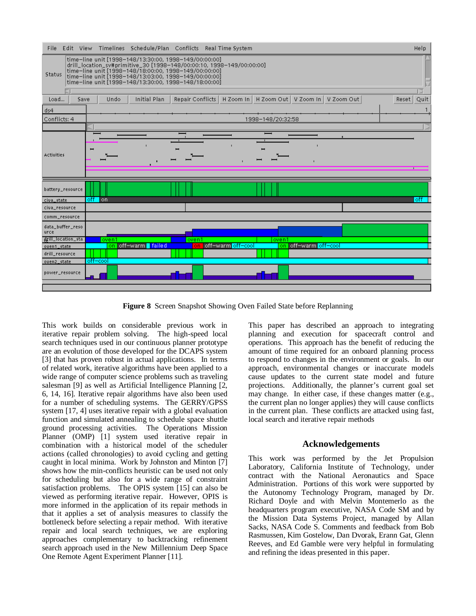

**Figure 8** Screen Snapshot Showing Oven Failed State before Replanning

This work builds on considerable previous work in iterative repair problem solving. The high-speed local search techniques used in our continuous planner prototype are an evolution of those developed for the DCAPS system [3] that has proven robust in actual applications. In terms of related work, iterative algorithms have been applied to a wide range of computer science problems such as traveling salesman [9] as well as Artificial Intelligence Planning [2, 6, 14, 16]. Iterative repair algorithms have also been used for a number of scheduling systems. The GERRY/GPSS system [17, 4] uses iterative repair with a global evaluation function and simulated annealing to schedule space shuttle ground processing activities. The Operations Mission Planner (OMP) [1] system used iterative repair in combination with a historical model of the scheduler actions (called chronologies) to avoid cycling and getting caught in local minima. Work by Johnston and Minton [7] shows how the min-conflicts heuristic can be used not only for scheduling but also for a wide range of constraint satisfaction problems. The OPIS system [15] can also be viewed as performing iterative repair. However, OPIS is more informed in the application of its repair methods in that it applies a set of analysis measures to classify the bottleneck before selecting a repair method. With iterative repair and local search techniques, we are exploring approaches complementary to backtracking refinement search approach used in the New Millennium Deep Space One Remote Agent Experiment Planner [11].

This paper has described an approach to integrating planning and execution for spacecraft control and operations. This approach has the benefit of reducing the amount of time required for an onboard planning process to respond to changes in the environment or goals. In our approach, environmental changes or inaccurate models cause updates to the current state model and future projections. Additionally, the planner's current goal set may change. In either case, if these changes matter (e.g., the current plan no longer applies) they will cause conflicts in the current plan. These conflicts are attacked using fast, local search and iterative repair methods

### **Acknowledgements**

This work was performed by the Jet Propulsion Laboratory, California Institute of Technology, under contract with the National Aeronautics and Space Administration. Portions of this work were supported by the Autonomy Technology Program, managed by Dr. Richard Doyle and with Melvin Montemerlo as the headquarters program executive, NASA Code SM and by the Mission Data Systems Project, managed by Allan Sacks, NASA Code S. Comments and feedback from Bob Rasmussen, Kim Gostelow, Dan Dvorak, Erann Gat, Glenn Reeves, and Ed Gamble were very helpful in formulating and refining the ideas presented in this paper.